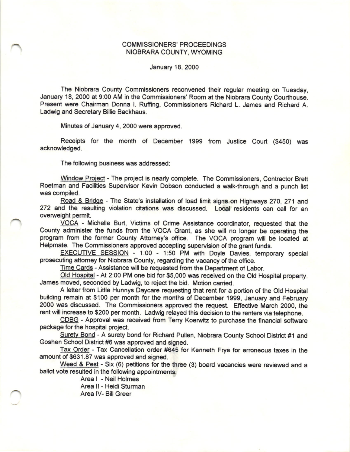## COMMISSIONERS' PROCEEDINGS NIOBRARA COUNTY, WYOMING

January 18, 2000

The Niobrara County Commissioners reconvened their regular meeting on Tuesday, January 18, 2000 at 9:00 AM in the Commissioners' Room at the Niobrara County Courthouse. Present were Chairman Donna I. Ruffing, Commissioners Richard L. James and Richard A. Ladwig and Secretary Billie Backhaus.

Minutes of January 4, 2000 were approved.

Receipts for the month of December 1999 from Justice Court (\$450) was acknowledged.

The following business was addressed:

Window Project - The project is nearly complete. The Commissioners, Contractor Brett Roetman and Facilities Supervisor Kevin Dobson conducted a walk-through and a punch list was compiled.

Road & Bridge - The State's installation of load limit signs on Highways 270, 271 and 272 and the resulting violation citations was discussed. Local residents can call for an overweight permit.

VOCA - Michelle Burt, Victims of Crime Assistance coordinator, requested that the County administer the funds from the VOCA Grant, as she will no longer be operating the program from the former County Attorney's office. The VOCA program will be located at Helpmate. The Commissioners approved accepiing supervision of the grant funds.

EXECUTIVE SESSION - 1:00 - 1:50 PM with Doyle Davies, temporary special prosecuting attorney for Niobrara County, regarding the vacancy of the office.

Time Cards - Assistance will be requested from the Department of Labor.

Old Hospital - At 2:00 PM one bid for \$5,000 was received on the Old Hospital property. James moved, seconded by Ladwig, to reject the bid. Motion carried.

A letter from Little Hunnys Daycare requesting that rent for a portion of the Old Hospital building remain at \$100 per month for the months of December 1999, January and February 2000 was discussed. The Commissioners approved the request. Effective March 2000, the rent will increase to \$200 per month. Ladwig relayed this decision to the renters via telephone.

CDBG - Approval was received from Terry Koerwitz to purchase the financial software package for the hospital project.

Surety Bond - A surety bond for Richard Pullen, Niobrara County School District #1 and Goshen School District #6 was approved and signed.

Tax Order - Tax Cancellation order #645 for Kenneth Frye for erroneous taxes in the amount of \$631.87 was approved and signed.

Weed & Pest - Six (6) petitions for the three (3) board vacancies were reviewed and a ballot vote resulted in the following appointments:

> Area I -Neil Holmes Area ll - Heidi Sturman

Area lV- Bill Greer